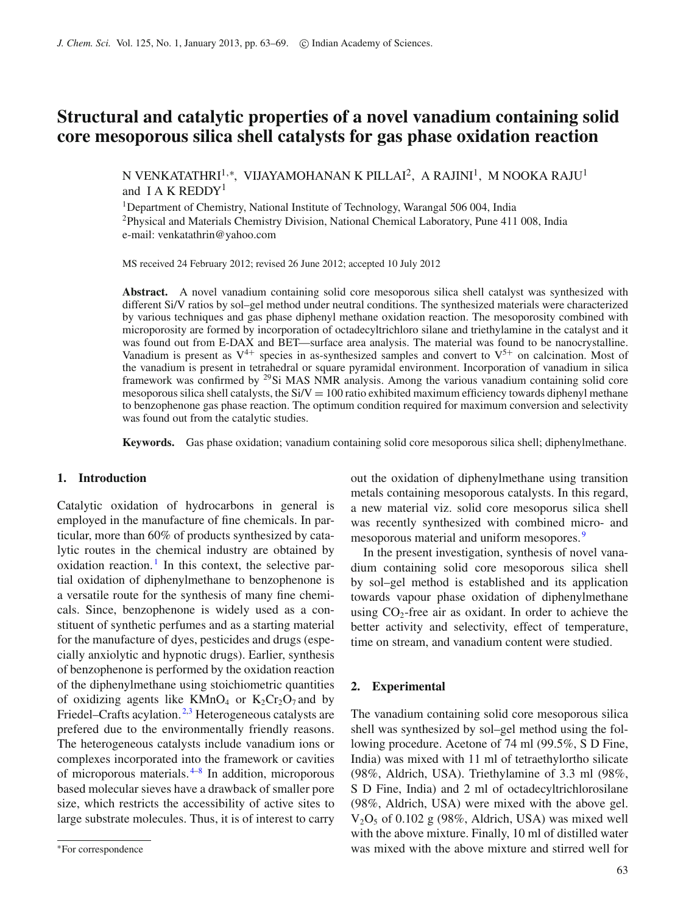# **Structural and catalytic properties of a novel vanadium containing solid core mesoporous silica shell catalysts for gas phase oxidation reaction**

N VENKATATHRI<sup>1,∗</sup>, VIJAYAMOHANAN K PILLAI<sup>2</sup>, A RAJINI<sup>1</sup>, M NOOKA RAJU<sup>1</sup> and I A K REDDY<sup>1</sup>

<sup>1</sup>Department of Chemistry, National Institute of Technology, Warangal 506 004, India 2Physical and Materials Chemistry Division, National Chemical Laboratory, Pune 411 008, India e-mail: venkatathrin@yahoo.com

MS received 24 February 2012; revised 26 June 2012; accepted 10 July 2012

**Abstract.** A novel vanadium containing solid core mesoporous silica shell catalyst was synthesized with different Si/V ratios by sol–gel method under neutral conditions. The synthesized materials were characterized by various techniques and gas phase diphenyl methane oxidation reaction. The mesoporosity combined with microporosity are formed by incorporation of octadecyltrichloro silane and triethylamine in the catalyst and it was found out from E-DAX and BET—surface area analysis. The material was found to be nanocrystalline. Vanadium is present as  $V^{4+}$  species in as-synthesized samples and convert to  $V^{5+}$  on calcination. Most of the vanadium is present in tetrahedral or square pyramidal environment. Incorporation of vanadium in silica framework was confirmed by 29Si MAS NMR analysis. Among the various vanadium containing solid core mesoporous silica shell catalysts, the  $Si/V = 100$  ratio exhibited maximum efficiency towards diphenyl methane to benzophenone gas phase reaction. The optimum condition required for maximum conversion and selectivity was found out from the catalytic studies.

**Keywords.** Gas phase oxidation; vanadium containing solid core mesoporous silica shell; diphenylmethane.

## **1. Introduction**

Catalytic oxidation of hydrocarbons in general is employed in the manufacture of fine chemicals. In particular, more than 60% of products synthesized by catalytic routes in the chemical industry are obtained by oxidation reaction.<sup>[1](#page-6-0)</sup> In this context, the selective partial oxidation of diphenylmethane to benzophenone is a versatile route for the synthesis of many fine chemicals. Since, benzophenone is widely used as a constituent of synthetic perfumes and as a starting material for the manufacture of dyes, pesticides and drugs (especially anxiolytic and hypnotic drugs). Earlier, synthesis of benzophenone is performed by the oxidation reaction of the diphenylmethane using stoichiometric quantities of oxidizing agents like  $KMnO<sub>4</sub>$  or  $K<sub>2</sub>Cr<sub>2</sub>O<sub>7</sub>$  and by Friedel–Crafts acylation.<sup>[2](#page-6-1)[,3](#page-6-2)</sup> Heterogeneous catalysts are prefered due to the environmentally friendly reasons. The heterogeneous catalysts include vanadium ions or complexes incorporated into the framework or cavities of microporous materials. [4](#page-6-3)[–8](#page-6-4) In addition, microporous based molecular sieves have a drawback of smaller pore size, which restricts the accessibility of active sites to large substrate molecules. Thus, it is of interest to carry out the oxidation of diphenylmethane using transition metals containing mesoporous catalysts. In this regard, a new material viz. solid core mesoporus silica shell was recently synthesized with combined micro- and mesoporous material and uniform mesopores. [9](#page-6-5)

In the present investigation, synthesis of novel vanadium containing solid core mesoporous silica shell by sol–gel method is established and its application towards vapour phase oxidation of diphenylmethane using  $CO<sub>2</sub>$ -free air as oxidant. In order to achieve the better activity and selectivity, effect of temperature, time on stream, and vanadium content were studied.

## **2. Experimental**

The vanadium containing solid core mesoporous silica shell was synthesized by sol–gel method using the following procedure. Acetone of 74 ml (99.5%, S D Fine, India) was mixed with 11 ml of tetraethylortho silicate (98%, Aldrich, USA). Triethylamine of 3.3 ml (98%, S D Fine, India) and 2 ml of octadecyltrichlorosilane (98%, Aldrich, USA) were mixed with the above gel.  $V_2O_5$  of 0.102 g (98%, Aldrich, USA) was mixed well with the above mixture. Finally, 10 ml of distilled water was mixed with the above mixture and stirred well for

<sup>∗</sup>For correspondence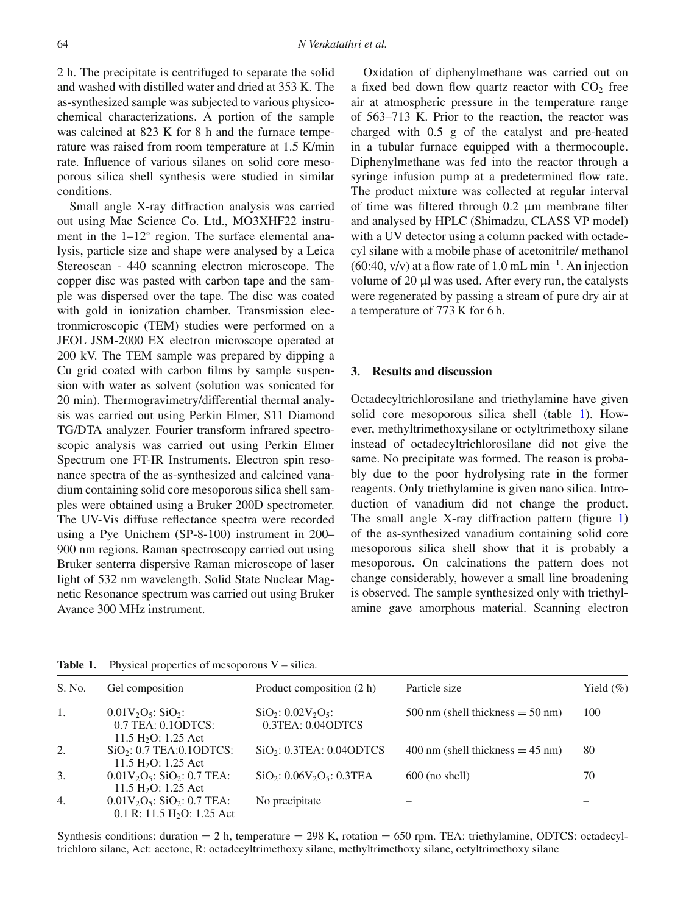2 h. The precipitate is centrifuged to separate the solid and washed with distilled water and dried at 353 K. The as-synthesized sample was subjected to various physicochemical characterizations. A portion of the sample was calcined at 823 K for 8 h and the furnace temperature was raised from room temperature at 1.5 K/min rate. Influence of various silanes on solid core mesoporous silica shell synthesis were studied in similar conditions.

Small angle X-ray diffraction analysis was carried out using Mac Science Co. Ltd., MO3XHF22 instrument in the 1–12◦ region. The surface elemental analysis, particle size and shape were analysed by a Leica Stereoscan - 440 scanning electron microscope. The copper disc was pasted with carbon tape and the sample was dispersed over the tape. The disc was coated with gold in ionization chamber. Transmission electronmicroscopic (TEM) studies were performed on a JEOL JSM-2000 EX electron microscope operated at 200 kV. The TEM sample was prepared by dipping a Cu grid coated with carbon films by sample suspension with water as solvent (solution was sonicated for 20 min). Thermogravimetry/differential thermal analysis was carried out using Perkin Elmer, S11 Diamond TG/DTA analyzer. Fourier transform infrared spectroscopic analysis was carried out using Perkin Elmer Spectrum one FT-IR Instruments. Electron spin resonance spectra of the as-synthesized and calcined vanadium containing solid core mesoporous silica shell samples were obtained using a Bruker 200D spectrometer. The UV-Vis diffuse reflectance spectra were recorded using a Pye Unichem (SP-8-100) instrument in 200– 900 nm regions. Raman spectroscopy carried out using Bruker senterra dispersive Raman microscope of laser light of 532 nm wavelength. Solid State Nuclear Magnetic Resonance spectrum was carried out using Bruker Avance 300 MHz instrument.

Oxidation of diphenylmethane was carried out on a fixed bed down flow quartz reactor with  $CO<sub>2</sub>$  free air at atmospheric pressure in the temperature range of 563–713 K. Prior to the reaction, the reactor was charged with 0.5 g of the catalyst and pre-heated in a tubular furnace equipped with a thermocouple. Diphenylmethane was fed into the reactor through a syringe infusion pump at a predetermined flow rate. The product mixture was collected at regular interval of time was filtered through 0.2 μm membrane filter and analysed by HPLC (Shimadzu, CLASS VP model) with a UV detector using a column packed with octadecyl silane with a mobile phase of acetonitrile/ methanol  $(60:40, v/v)$  at a flow rate of 1.0 mL min<sup>-1</sup>. An injection volume of 20 μl was used. After every run, the catalysts were regenerated by passing a stream of pure dry air at a temperature of 773 K for 6 h.

#### **3. Results and discussion**

Octadecyltrichlorosilane and triethylamine have given solid core mesoporous silica shell (table [1\)](#page-1-0). However, methyltrimethoxysilane or octyltrimethoxy silane instead of octadecyltrichlorosilane did not give the same. No precipitate was formed. The reason is probably due to the poor hydrolysing rate in the former reagents. Only triethylamine is given nano silica. Introduction of vanadium did not change the product. The small angle X-ray diffraction pattern (figure [1\)](#page-2-0) of the as-synthesized vanadium containing solid core mesoporous silica shell show that it is probably a mesoporous. On calcinations the pattern does not change considerably, however a small line broadening is observed. The sample synthesized only with triethylamine gave amorphous material. Scanning electron

| S. No.           | Gel composition                                                                                 | Product composition (2 h)                                          | Particle size                                         | Yield $(\% )$ |
|------------------|-------------------------------------------------------------------------------------------------|--------------------------------------------------------------------|-------------------------------------------------------|---------------|
| 1.               | $0.01V_2O_5$ : SiO <sub>2</sub> :<br>$0.7$ TEA: $0.1$ ODTCS:<br>11.5 H <sub>2</sub> O: 1.25 Act | $SiO_2$ : 0.02V <sub>2</sub> O <sub>5</sub> :<br>0.3TEA: 0.04ODTCS | $500 \text{ nm}$ (shell thickness $= 50 \text{ nm}$ ) | 100           |
| 2.               | SiO <sub>2</sub> : 0.7 TEA:0.1ODTCS:<br>11.5 H <sub>2</sub> O: 1.25 Act                         | SiO <sub>2</sub> : 0.3TEA: 0.04ODTCS                               | $400 \text{ nm}$ (shell thickness = 45 nm)            | 80            |
| 3.               | $0.01V_2O_5$ : SiO <sub>2</sub> : 0.7 TEA:<br>11.5 H <sub>2</sub> O: 1.25 Act                   | $SiO_2$ : 0.06V <sub>2</sub> O <sub>5</sub> : 0.3TEA               | $600$ (no shell)                                      | 70            |
| $\overline{4}$ . | $0.01V_2O_5$ : SiO <sub>2</sub> : 0.7 TEA:<br>0.1 R: 11.5 $H_2O$ : 1.25 Act                     | No precipitate                                                     |                                                       |               |

<span id="page-1-0"></span>**Table 1.** Physical properties of mesoporous V – silica.

Synthesis conditions: duration  $= 2$  h, temperature  $= 298$  K, rotation  $= 650$  rpm. TEA: triethylamine, ODTCS: octadecyltrichloro silane, Act: acetone, R: octadecyltrimethoxy silane, methyltrimethoxy silane, octyltrimethoxy silane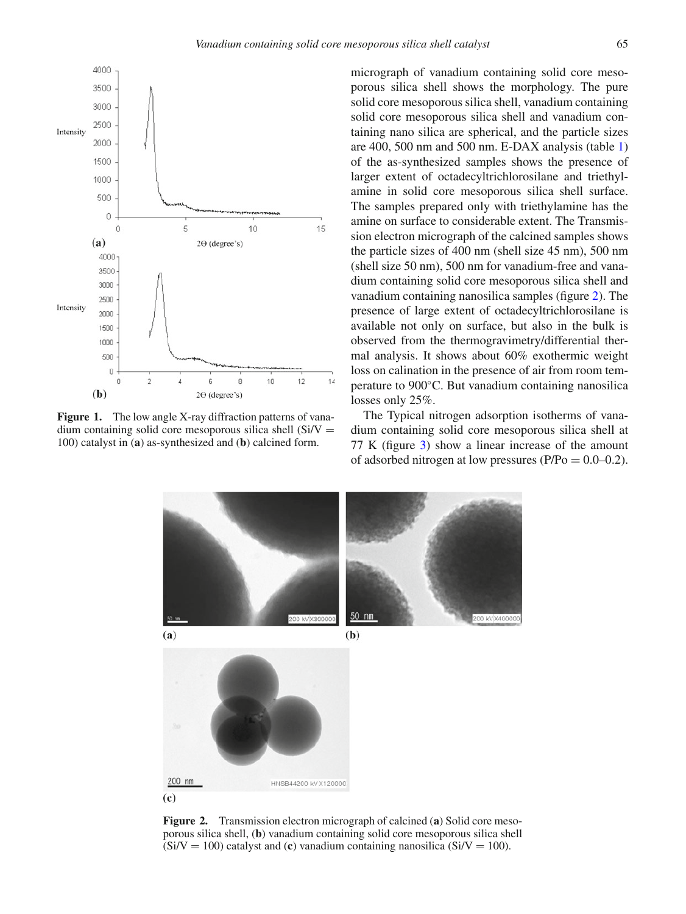<span id="page-2-0"></span>

<span id="page-2-1"></span>**Figure 1.** The low angle X-ray diffraction patterns of vanadium containing solid core mesoporous silica shell  $(Si/V =$ 100) catalyst in (**a**) as-synthesized and (**b**) calcined form.

micrograph of vanadium containing solid core mesoporous silica shell shows the morphology. The pure solid core mesoporous silica shell, vanadium containing solid core mesoporous silica shell and vanadium containing nano silica are spherical, and the particle sizes are 400, 500 nm and 500 nm. E-DAX analysis (table [1\)](#page-1-0) of the as-synthesized samples shows the presence of larger extent of octadecyltrichlorosilane and triethylamine in solid core mesoporous silica shell surface. The samples prepared only with triethylamine has the amine on surface to considerable extent. The Transmission electron micrograph of the calcined samples shows the particle sizes of 400 nm (shell size 45 nm), 500 nm (shell size 50 nm), 500 nm for vanadium-free and vanadium containing solid core mesoporous silica shell and vanadium containing nanosilica samples (figure [2\)](#page-2-1). The presence of large extent of octadecyltrichlorosilane is available not only on surface, but also in the bulk is observed from the thermogravimetry/differential thermal analysis. It shows about 60% exothermic weight loss on calination in the presence of air from room temperature to 900◦C. But vanadium containing nanosilica losses only 25%.

The Typical nitrogen adsorption isotherms of vanadium containing solid core mesoporous silica shell at 77 K (figure [3\)](#page-3-0) show a linear increase of the amount of adsorbed nitrogen at low pressures ( $P/Po = 0.0-0.2$ ).



**Figure 2.** Transmission electron micrograph of calcined (**a**) Solid core mesoporous silica shell, (**b**) vanadium containing solid core mesoporous silica shell  $(Si/V = 100)$  catalyst and (c) vanadium containing nanosilica  $(Si/V = 100)$ .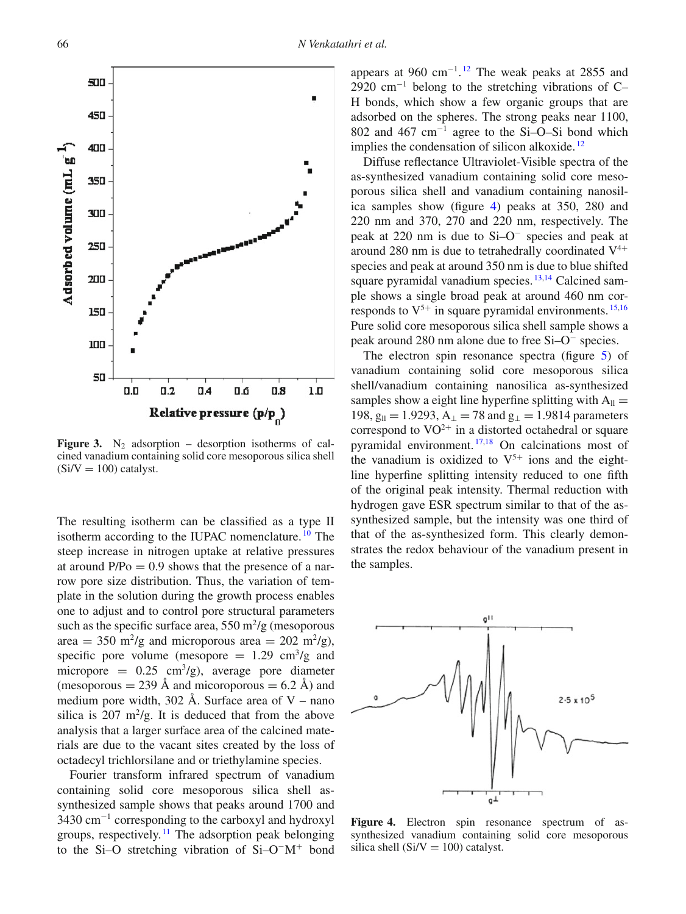<span id="page-3-0"></span>

**Figure 3.** N<sub>2</sub> adsorption – desorption isotherms of calcined vanadium containing solid core mesoporous silica shell  $(Si/V = 100)$  catalyst.

The resulting isotherm can be classified as a type II isotherm according to the IUPAC nomenclature.<sup>[10](#page-6-6)</sup> The steep increase in nitrogen uptake at relative pressures at around  $P/Po = 0.9$  shows that the presence of a narrow pore size distribution. Thus, the variation of template in the solution during the growth process enables one to adjust and to control pore structural parameters such as the specific surface area,  $550 \text{ m}^2/\text{g}$  (mesoporous area = 350 m<sup>2</sup>/g and microporous area = 202 m<sup>2</sup>/g), specific pore volume (mesopore  $= 1.29$  cm<sup>3</sup>/g and micropore =  $0.25 \text{ cm}^3/\text{g}$ , average pore diameter (mesoporous  $= 239$  Å and micoroporous  $= 6.2$  Å) and medium pore width, 302 Å. Surface area of  $V$  – nano silica is  $207 \text{ m}^2/\text{g}$ . It is deduced that from the above analysis that a larger surface area of the calcined materials are due to the vacant sites created by the loss of octadecyl trichlorsilane and or triethylamine species.

Fourier transform infrared spectrum of vanadium containing solid core mesoporous silica shell assynthesized sample shows that peaks around 1700 and 3430 cm<sup>−</sup><sup>1</sup> corresponding to the carboxyl and hydroxyl groups, respectively.<sup>[11](#page-6-7)</sup> The adsorption peak belonging to the Si–O stretching vibration of Si–O<sup>−</sup>M<sup>+</sup> bond

appears at 960 cm<sup>-1</sup>.<sup>[12](#page-6-8)</sup> The weak peaks at 2855 and 2920 cm<sup>-1</sup> belong to the stretching vibrations of C– H bonds, which show a few organic groups that are adsorbed on the spheres. The strong peaks near 1100, 802 and 467 cm<sup>−</sup><sup>1</sup> agree to the Si–O–Si bond which implies the condensation of silicon alkoxide.  $\frac{12}{2}$  $\frac{12}{2}$  $\frac{12}{2}$ 

Diffuse reflectance Ultraviolet-Visible spectra of the as-synthesized vanadium containing solid core mesoporous silica shell and vanadium containing nanosilica samples show (figure [4\)](#page-3-1) peaks at 350, 280 and 220 nm and 370, 270 and 220 nm, respectively. The peak at 220 nm is due to Si–O<sup>−</sup> species and peak at around 280 nm is due to tetrahedrally coordinated  $V^{4+}$ species and peak at around 350 nm is due to blue shifted square pyramidal vanadium species.<sup>[13](#page-6-9)[,14](#page-6-10)</sup> Calcined sample shows a single broad peak at around 460 nm corresponds to  $V^{5+}$  in square pyramidal environments.  $^{15,16}$  $^{15,16}$  $^{15,16}$  $^{15,16}$ Pure solid core mesoporous silica shell sample shows a peak around 280 nm alone due to free Si–O<sup>−</sup> species.

The electron spin resonance spectra (figure [5\)](#page-4-0) of vanadium containing solid core mesoporous silica shell/vanadium containing nanosilica as-synthesized samples show a eight line hyperfine splitting with  $A_{ll} =$ 198,  $g_{\parallel} = 1.9293$ ,  $A_{\perp} = 78$  and  $g_{\perp} = 1.9814$  parameters correspond to  $VO^{2+}$  in a distorted octahedral or square pyramidal environment. [17](#page-6-13)[,18](#page-6-14) On calcinations most of the vanadium is oxidized to  $V^{5+}$  ions and the eightline hyperfine splitting intensity reduced to one fifth of the original peak intensity. Thermal reduction with hydrogen gave ESR spectrum similar to that of the assynthesized sample, but the intensity was one third of that of the as-synthesized form. This clearly demonstrates the redox behaviour of the vanadium present in the samples.

<span id="page-3-1"></span>

**Figure 4.** Electron spin resonance spectrum of assynthesized vanadium containing solid core mesoporous silica shell ( $Si/V = 100$ ) catalyst.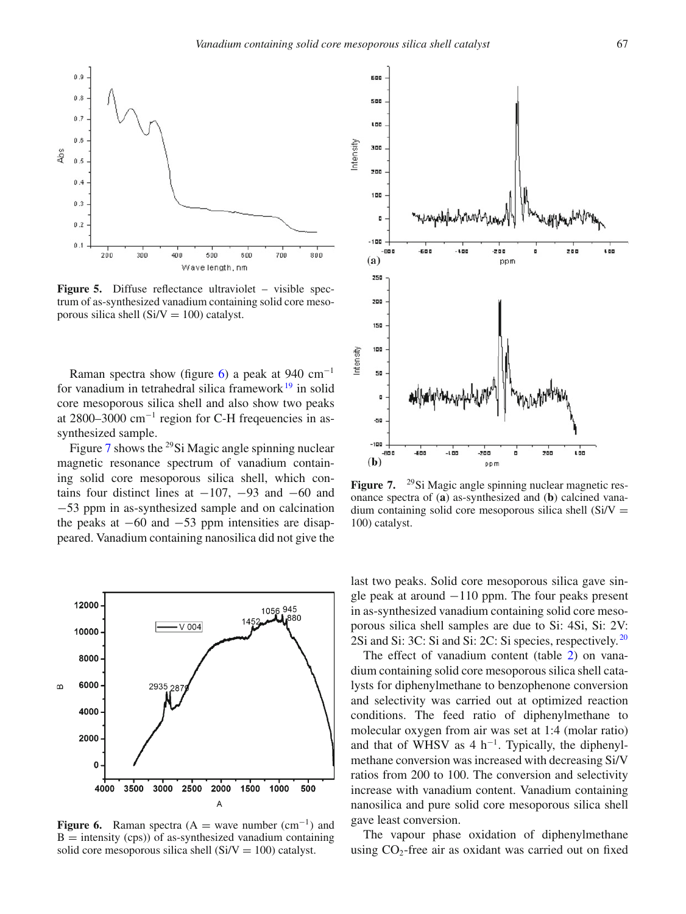<span id="page-4-0"></span>

**Figure 5.** Diffuse reflectance ultraviolet – visible spectrum of as-synthesized vanadium containing solid core mesoporous silica shell ( $Si/V = 100$ ) catalyst.

Raman spectra show (figure [6\)](#page-4-1) a peak at 940 cm<sup>-1</sup> for vanadium in tetrahedral silica framework $19$  in solid core mesoporous silica shell and also show two peaks at 2800–3000  $cm^{-1}$  region for C-H frequencies in assynthesized sample.

Figure [7](#page-4-2) shows the <sup>29</sup>Si Magic angle spinning nuclear magnetic resonance spectrum of vanadium containing solid core mesoporous silica shell, which contains four distinct lines at  $-107$ ,  $-93$  and  $-60$  and −53 ppm in as-synthesized sample and on calcination the peaks at  $-60$  and  $-53$  ppm intensities are disappeared. Vanadium containing nanosilica did not give the

<span id="page-4-1"></span>

**Figure 6.** Raman spectra (A = wave number  $(cm^{-1})$  and  $B =$  intensity (cps)) of as-synthesized vanadium containing solid core mesoporous silica shell  $(Si/V = 100)$  catalyst.

<span id="page-4-2"></span>

**Figure 7.** <sup>29</sup>Si Magic angle spinning nuclear magnetic resonance spectra of (**a**) as-synthesized and (**b**) calcined vanadium containing solid core mesoporous silica shell  $(Si/V =$ 100) catalyst.

last two peaks. Solid core mesoporous silica gave single peak at around −110 ppm. The four peaks present in as-synthesized vanadium containing solid core mesoporous silica shell samples are due to Si: 4Si, Si: 2V: 2Si and Si: 3C: Si and Si: 2C: Si species, respectively. [20](#page-6-16)

The effect of vanadium content (table [2\)](#page-5-0) on vanadium containing solid core mesoporous silica shell catalysts for diphenylmethane to benzophenone conversion and selectivity was carried out at optimized reaction conditions. The feed ratio of diphenylmethane to molecular oxygen from air was set at 1:4 (molar ratio) and that of WHSV as  $4 h^{-1}$ . Typically, the diphenylmethane conversion was increased with decreasing Si/V ratios from 200 to 100. The conversion and selectivity increase with vanadium content. Vanadium containing nanosilica and pure solid core mesoporous silica shell gave least conversion.

The vapour phase oxidation of diphenylmethane using  $CO_2$ -free air as oxidant was carried out on fixed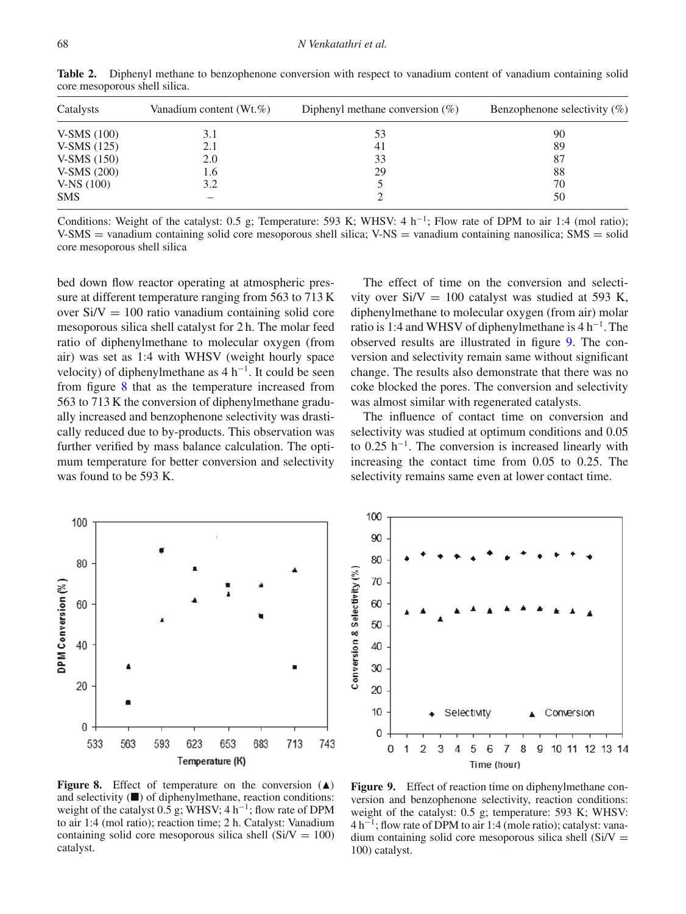| Catalysts    | Vanadium content (Wt. $\%$ ) | Diphenyl methane conversion $(\%)$ | Benzophenone selectivity $(\%)$ |
|--------------|------------------------------|------------------------------------|---------------------------------|
| $V-SMS(100)$ | 3.1                          | 53                                 | 90                              |
| V-SMS (125)  | 2.1                          | 41                                 | 89                              |
| $V-SMS(150)$ | 2.0                          | 33                                 | 87                              |
| V-SMS (200)  | 1.6                          | 29                                 | 88                              |
| $V-NS(100)$  | 3.2                          |                                    | 70                              |
| SMS          |                              |                                    | 50                              |

<span id="page-5-0"></span>**Table 2.** Diphenyl methane to benzophenone conversion with respect to vanadium content of vanadium containing solid core mesoporous shell silica.

Conditions: Weight of the catalyst: 0.5 g; Temperature: 593 K; WHSV: 4 h<sup>-1</sup>; Flow rate of DPM to air 1:4 (mol ratio); V-SMS = vanadium containing solid core mesoporous shell silica; V-NS = vanadium containing nanosilica; SMS = solid core mesoporous shell silica

bed down flow reactor operating at atmospheric pressure at different temperature ranging from 563 to 713 K over  $Si/V = 100$  ratio vanadium containing solid core mesoporous silica shell catalyst for 2 h. The molar feed ratio of diphenylmethane to molecular oxygen (from air) was set as 1:4 with WHSV (weight hourly space velocity) of diphenylmethane as  $4 h^{-1}$ . It could be seen from figure [8](#page-5-1) that as the temperature increased from 563 to 713 K the conversion of diphenylmethane gradually increased and benzophenone selectivity was drastically reduced due to by-products. This observation was further verified by mass balance calculation. The optimum temperature for better conversion and selectivity was found to be 593 K.

The effect of time on the conversion and selectivity over  $Si/V = 100$  catalyst was studied at 593 K, diphenylmethane to molecular oxygen (from air) molar ratio is 1:4 and WHSV of diphenylmethane is 4 h<sup>−</sup>1. The observed results are illustrated in figure [9.](#page-5-2) The conversion and selectivity remain same without significant change. The results also demonstrate that there was no coke blocked the pores. The conversion and selectivity was almost similar with regenerated catalysts.

The influence of contact time on conversion and selectivity was studied at optimum conditions and 0.05 to 0.25 h<sup> $-1$ </sup>. The conversion is increased linearly with increasing the contact time from 0.05 to 0.25. The selectivity remains same even at lower contact time.

<span id="page-5-1"></span>

Figure 8. Effect of temperature on the conversion  $(A)$ and selectivity  $(\blacksquare)$  of diphenylmethane, reaction conditions: weight of the catalyst  $0.5$  g; WHSV; 4 h<sup>-1</sup>; flow rate of DPM to air 1:4 (mol ratio); reaction time; 2 h. Catalyst: Vanadium containing solid core mesoporous silica shell  $(Si/V = 100)$ catalyst.

<span id="page-5-2"></span>

Figure 9. Effect of reaction time on diphenylmethane conversion and benzophenone selectivity, reaction conditions: weight of the catalyst: 0.5 g; temperature: 593 K; WHSV: 4 h<sup>−</sup>1; flow rate of DPM to air 1:4 (mole ratio); catalyst: vanadium containing solid core mesoporous silica shell  $(Si/V =$ 100) catalyst.